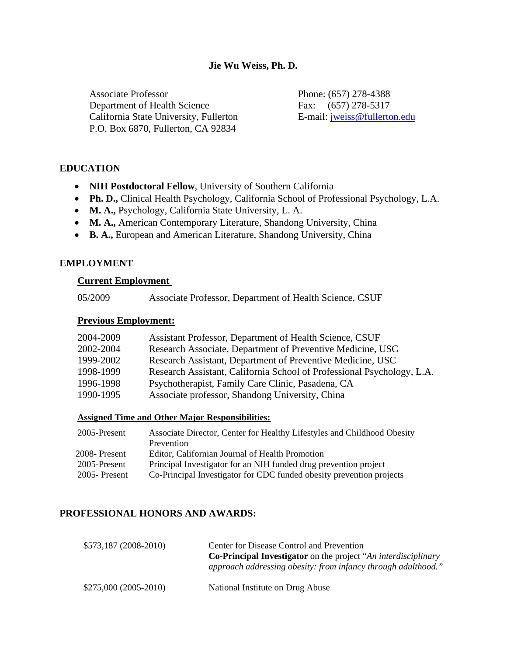# **Jie Wu Weiss, Ph. D.**

Associate Professor Phone: (657) 278-4388 Department of Health Science Fax: (657) 278-5317 California State University, Fullerton E-mail: jweiss@fullerton.edu P.O. Box 6870, Fullerton, CA 92834

# **EDUCATION**

- **NIH Postdoctoral Fellow**, University of Southern California
- **Ph. D.,** Clinical Health Psychology, California School of Professional Psychology, L.A.
- **M. A.,** Psychology, California State University, L. A.
- **M. A.,** American Contemporary Literature, Shandong University, China
- **B. A.,** European and American Literature, Shandong University, China

# **EMPLOYMENT**

#### **Current Employment**

05/2009 Associate Professor, Department of Health Science, CSUF

# **Previous Employment:**

| 2004-2009 | Assistant Professor, Department of Health Science, CSUF                |
|-----------|------------------------------------------------------------------------|
| 2002-2004 | Research Associate, Department of Preventive Medicine, USC             |
| 1999-2002 | Research Assistant, Department of Preventive Medicine, USC             |
| 1998-1999 | Research Assistant, California School of Professional Psychology, L.A. |
| 1996-1998 | Psychotherapist, Family Care Clinic, Pasadena, CA                      |
| 1990-1995 | Associate professor, Shandong University, China                        |
|           |                                                                        |

#### **Assigned Time and Other Major Responsibilities:**

| Associate Director, Center for Healthy Lifestyles and Childhood Obesity |
|-------------------------------------------------------------------------|
| Prevention                                                              |
| Editor, Californian Journal of Health Promotion                         |
| Principal Investigator for an NIH funded drug prevention project        |
| Co-Principal Investigator for CDC funded obesity prevention projects    |
|                                                                         |

# **PROFESSIONAL HONORS AND AWARDS:**

| $$573,187 (2008-2010)$ | Center for Disease Control and Prevention                              |  |
|------------------------|------------------------------------------------------------------------|--|
|                        | <b>Co-Principal Investigator</b> on the project "An interdisciplinary" |  |
|                        | approach addressing obesity: from infancy through adulthood."          |  |
| $$275,000 (2005-2010)$ | National Institute on Drug Abuse                                       |  |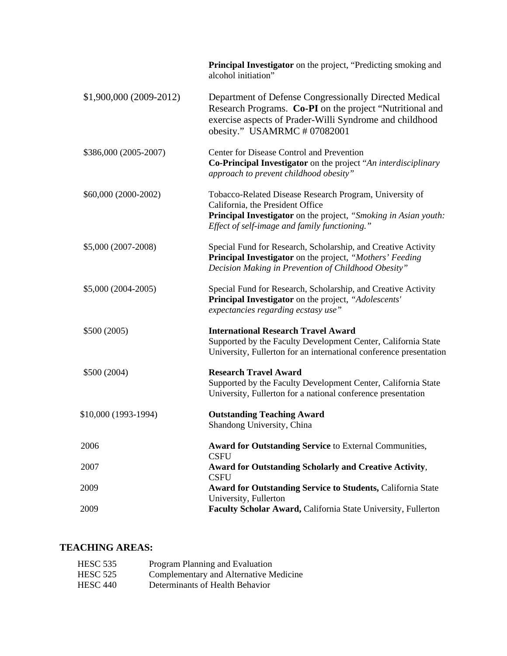|                         | <b>Principal Investigator</b> on the project, "Predicting smoking and<br>alcohol initiation"                                                                                                                    |
|-------------------------|-----------------------------------------------------------------------------------------------------------------------------------------------------------------------------------------------------------------|
| \$1,900,000 (2009-2012) | Department of Defense Congressionally Directed Medical<br>Research Programs. Co-PI on the project "Nutritional and<br>exercise aspects of Prader-Willi Syndrome and childhood<br>obesity." USAMRMC #07082001    |
| \$386,000 (2005-2007)   | Center for Disease Control and Prevention<br>Co-Principal Investigator on the project "An interdisciplinary<br>approach to prevent childhood obesity"                                                           |
| \$60,000 (2000-2002)    | Tobacco-Related Disease Research Program, University of<br>California, the President Office<br>Principal Investigator on the project, "Smoking in Asian youth:<br>Effect of self-image and family functioning." |
| \$5,000 (2007-2008)     | Special Fund for Research, Scholarship, and Creative Activity<br>Principal Investigator on the project, "Mothers' Feeding<br>Decision Making in Prevention of Childhood Obesity"                                |
| \$5,000 (2004-2005)     | Special Fund for Research, Scholarship, and Creative Activity<br>Principal Investigator on the project, "Adolescents'<br>expectancies regarding ecstasy use"                                                    |
| \$500 (2005)            | <b>International Research Travel Award</b><br>Supported by the Faculty Development Center, California State<br>University, Fullerton for an international conference presentation                               |
| \$500 (2004)            | <b>Research Travel Award</b><br>Supported by the Faculty Development Center, California State<br>University, Fullerton for a national conference presentation                                                   |
| \$10,000 (1993-1994)    | <b>Outstanding Teaching Award</b><br>Shandong University, China                                                                                                                                                 |
| 2006                    | Award for Outstanding Service to External Communities,<br><b>CSFU</b>                                                                                                                                           |
| 2007                    | <b>Award for Outstanding Scholarly and Creative Activity,</b><br><b>CSFU</b>                                                                                                                                    |
| 2009                    | <b>Award for Outstanding Service to Students, California State</b><br>University, Fullerton                                                                                                                     |
| 2009                    | Faculty Scholar Award, California State University, Fullerton                                                                                                                                                   |

# **TEACHING AREAS:**

| HESC 535        | Program Planning and Evaluation        |
|-----------------|----------------------------------------|
| <b>HESC 525</b> | Complementary and Alternative Medicine |
| HESC 440        | Determinants of Health Behavior        |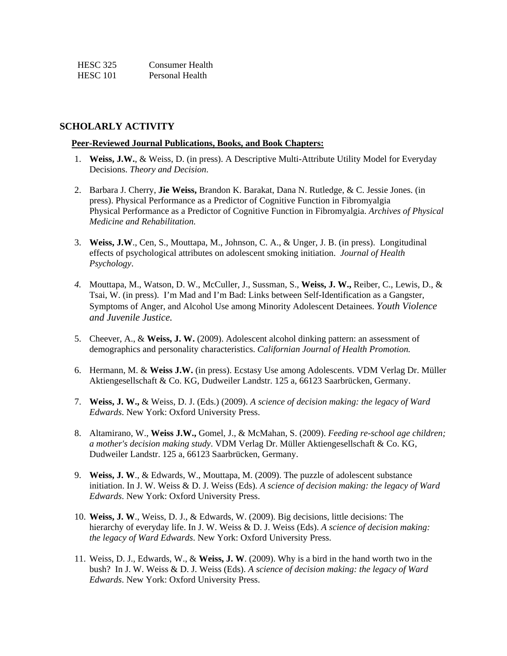| <b>HESC 325</b> | Consumer Health |
|-----------------|-----------------|
| HESC 101        | Personal Health |

#### **SCHOLARLY ACTIVITY**

#### **Peer-Reviewed Journal Publications, Books, and Book Chapters:**

- 1. **Weiss, J.W.**, & Weiss, D. (in press). A Descriptive Multi-Attribute Utility Model for Everyday Decisions. *Theory and Decision*.
- 2. Barbara J. Cherry, **Jie Weiss,** Brandon K. Barakat, Dana N. Rutledge, & C. Jessie Jones. (in press). Physical Performance as a Predictor of Cognitive Function in Fibromyalgia Physical Performance as a Predictor of Cognitive Function in Fibromyalgia. *Archives of Physical Medicine and Rehabilitation.*
- 3. **Weiss, J.W**., Cen, S., Mouttapa, M., Johnson, C. A., & Unger, J. B. (in press). Longitudinal effects of psychological attributes on adolescent smoking initiation. *Journal of Health Psychology*.
- *4.* Mouttapa, M., Watson, D. W., McCuller, J., Sussman, S., **Weiss, J. W.,** Reiber, C., Lewis, D., & Tsai, W. (in press). I'm Mad and I'm Bad: Links between Self-Identification as a Gangster, Symptoms of Anger, and Alcohol Use among Minority Adolescent Detainees. *Youth Violence and Juvenile Justice.*
- 5. Cheever, A., & **Weiss, J. W.** (2009). Adolescent alcohol dinking pattern: an assessment of demographics and personality characteristics. *Californian Journal of Health Promotion.*
- 6. Hermann, M. & **Weiss J.W.** (in press). Ecstasy Use among Adolescents. VDM Verlag Dr. Müller Aktiengesellschaft & Co. KG, Dudweiler Landstr. 125 a, 66123 Saarbrücken, Germany.
- 7. **Weiss, J. W.,** & Weiss, D. J. (Eds.) (2009). *A science of decision making: the legacy of Ward Edwards*. New York: Oxford University Press.
- 8. Altamirano, W., **Weiss J.W.,** Gomel, J., & McMahan, S. (2009). *Feeding re-school age children; a mother's decision making study*. VDM Verlag Dr. Müller Aktiengesellschaft & Co. KG, Dudweiler Landstr. 125 a, 66123 Saarbrücken, Germany.
- 9. **Weiss, J. W**., & Edwards, W., Mouttapa, M. (2009). The puzzle of adolescent substance initiation. In J. W. Weiss & D. J. Weiss (Eds). *A science of decision making: the legacy of Ward Edwards*. New York: Oxford University Press.
- 10. **Weiss, J. W**., Weiss, D. J., & Edwards, W. (2009). Big decisions, little decisions: The hierarchy of everyday life. In J. W. Weiss & D. J. Weiss (Eds). *A science of decision making: the legacy of Ward Edwards*. New York: Oxford University Press.
- 11. Weiss, D. J., Edwards, W., & **Weiss, J. W**. (2009). Why is a bird in the hand worth two in the bush? In J. W. Weiss & D. J. Weiss (Eds). *A science of decision making: the legacy of Ward Edwards*. New York: Oxford University Press.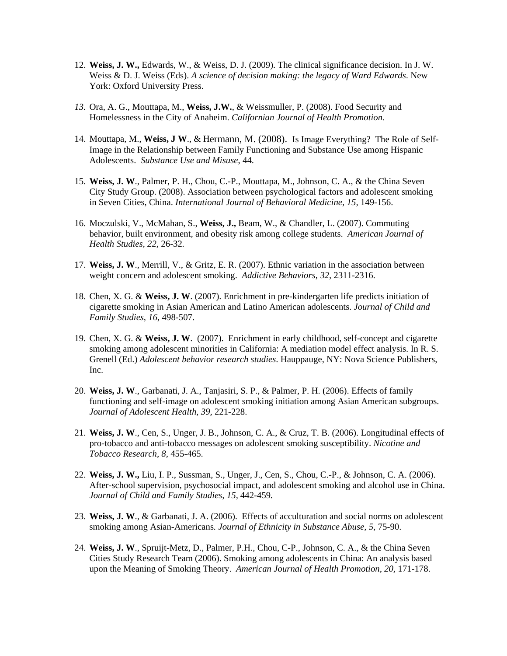- 12. **Weiss, J. W.,** Edwards, W., & Weiss, D. J. (2009). The clinical significance decision. In J. W. Weiss & D. J. Weiss (Eds). *A science of decision making: the legacy of Ward Edwards*. New York: Oxford University Press.
- *13.* Ora, A. G., Mouttapa, M., **Weiss, J.W.**, & Weissmuller, P. (2008). Food Security and Homelessness in the City of Anaheim. *Californian Journal of Health Promotion.*
- 14. Mouttapa, M., **Weiss, J W**., & Hermann, M. (2008). Is Image Everything? The Role of Self-Image in the Relationship between Family Functioning and Substance Use among Hispanic Adolescents. *Substance Use and Misuse*, 44.
- 15. **Weiss, J. W**., Palmer, P. H., Chou, C.-P., Mouttapa, M., Johnson, C. A., & the China Seven City Study Group. (2008). Association between psychological factors and adolescent smoking in Seven Cities, China. *International Journal of Behavioral Medicine, 15,* 149-156.
- 16. Moczulski, V., McMahan, S., **Weiss, J.,** Beam, W., & Chandler, L. (2007). Commuting behavior, built environment, and obesity risk among college students. *American Journal of Health Studies, 22,* 26-32*.*
- 17. **Weiss, J. W**., Merrill, V., & Gritz, E. R. (2007). Ethnic variation in the association between weight concern and adolescent smoking. *Addictive Behaviors, 32,* 2311-2316.
- 18. Chen, X. G. & **Weiss, J. W**. (2007). Enrichment in pre-kindergarten life predicts initiation of cigarette smoking in Asian American and Latino American adolescents. *Journal of Child and Family Studies, 16,* 498-507.
- 19. Chen, X. G. & **Weiss, J. W**. (2007). Enrichment in early childhood, self-concept and cigarette smoking among adolescent minorities in California: A mediation model effect analysis. In R. S. Grenell (Ed.) *Adolescent behavior research studies*. Hauppauge, NY: Nova Science Publishers, Inc.
- 20. **Weiss, J. W**., Garbanati, J. A., Tanjasiri, S. P., & Palmer, P. H. (2006). Effects of family functioning and self-image on adolescent smoking initiation among Asian American subgroups. *Journal of Adolescent Health, 39,* 221-228.
- 21. **Weiss, J. W**., Cen, S., Unger, J. B., Johnson, C. A., & Cruz, T. B. (2006). Longitudinal effects of pro-tobacco and anti-tobacco messages on adolescent smoking susceptibility. *Nicotine and Tobacco Research, 8,* 455-465.
- 22. **Weiss, J. W.,** Liu, I. P., Sussman, S., Unger, J., Cen, S., Chou, C.-P., & Johnson, C. A. (2006). After-school supervision, psychosocial impact, and adolescent smoking and alcohol use in China. *Journal of Child and Family Studies, 15,* 442-459*.*
- 23. **Weiss, J. W**., & Garbanati, J. A. (2006). Effects of acculturation and social norms on adolescent smoking among Asian-Americans*. Journal of Ethnicity in Substance Abuse, 5,* 75-90.
- 24. **Weiss, J. W**., Spruijt-Metz, D., Palmer, P.H., Chou, C-P., Johnson, C. A., & the China Seven Cities Study Research Team (2006). Smoking among adolescents in China: An analysis based upon the Meaning of Smoking Theory. *American Journal of Health Promotion*, *20,* 171-178.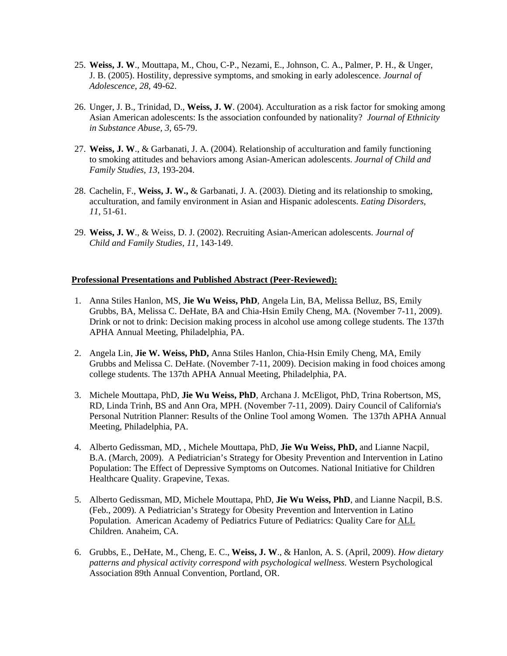- 25. **Weiss, J. W**., Mouttapa, M., Chou, C-P., Nezami, E., Johnson, C. A., Palmer, P. H., & Unger, J. B. (2005). Hostility, depressive symptoms, and smoking in early adolescence. *Journal of Adolescence, 28*, 49-62.
- 26. Unger, J. B., Trinidad, D., **Weiss, J. W**. (2004). Acculturation as a risk factor for smoking among Asian American adolescents: Is the association confounded by nationality? *Journal of Ethnicity in Substance Abuse, 3,* 65-79.
- 27. **Weiss, J. W**., & Garbanati, J. A. (2004). Relationship of acculturation and family functioning to smoking attitudes and behaviors among Asian-American adolescents. *Journal of Child and Family Studies, 13,* 193-204.
- 28. Cachelin, F., **Weiss, J. W.,** & Garbanati, J. A. (2003). Dieting and its relationship to smoking, acculturation, and family environment in Asian and Hispanic adolescents. *Eating Disorders, 11,* 51-61.
- 29. **Weiss, J. W**., & Weiss, D. J. (2002). Recruiting Asian-American adolescents. *Journal of Child and Family Studies, 11,* 143-149.

#### **Professional Presentations and Published Abstract (Peer-Reviewed):**

- 1. Anna Stiles Hanlon, MS, **Jie Wu Weiss, PhD**, Angela Lin, BA, Melissa Belluz, BS, Emily Grubbs, BA, Melissa C. DeHate, BA and Chia-Hsin Emily Cheng, MA*.* (November 7-11, 2009). [Drink or not to drink: Decision making process in alcohol use among college students.](http://apha.confex.com/apha/137am/webprogram/Paper197899.html) The 137th APHA Annual Meeting, Philadelphia, PA.
- 2. Angela Lin, **Jie W. Weiss, PhD,** Anna Stiles Hanlon, Chia-Hsin Emily Cheng, MA, Emily Grubbs and Melissa C. DeHate. (November 7-11, 2009). [Decision making in food choices among](http://apha.confex.com/apha/137am/webprogram/Paper201084.html)  [college students.](http://apha.confex.com/apha/137am/webprogram/Paper201084.html) The 137th APHA Annual Meeting, Philadelphia, PA.
- 3. Michele Mouttapa, PhD, **Jie Wu Weiss, PhD**, Archana J. McEligot, PhD, Trina Robertson, MS, RD, Linda Trinh, BS and Ann Ora, MPH. (November 7-11, 2009). [Dairy Council of California's](http://apha.confex.com/apha/137am/webprogram/Paper206544.html)  [Personal Nutrition Planner: Results of the Online Tool among Women](http://apha.confex.com/apha/137am/webprogram/Paper206544.html). The 137th APHA Annual Meeting, Philadelphia, PA.
- 4. Alberto Gedissman, MD, , Michele Mouttapa, PhD, **Jie Wu Weiss, PhD,** and Lianne Nacpil, B.A. (March, 2009). A Pediatrician's Strategy for Obesity Prevention and Intervention in Latino Population: The Effect of Depressive Symptoms on Outcomes. National Initiative for Children Healthcare Quality. Grapevine, Texas.
- 5. Alberto Gedissman, MD, Michele Mouttapa, PhD, **Jie Wu Weiss, PhD**, and Lianne Nacpil, B.S. (Feb., 2009). A Pediatrician's Strategy for Obesity Prevention and Intervention in Latino Population. American Academy of Pediatrics Future of Pediatrics: Quality Care for ALL Children. Anaheim, CA.
- 6. Grubbs, E., DeHate, M., Cheng, E. C., **Weiss, J. W**., & Hanlon, A. S. (April, 2009). *How dietary patterns and physical activity correspond with psychological wellness*. Western Psychological Association 89th Annual Convention, Portland, OR.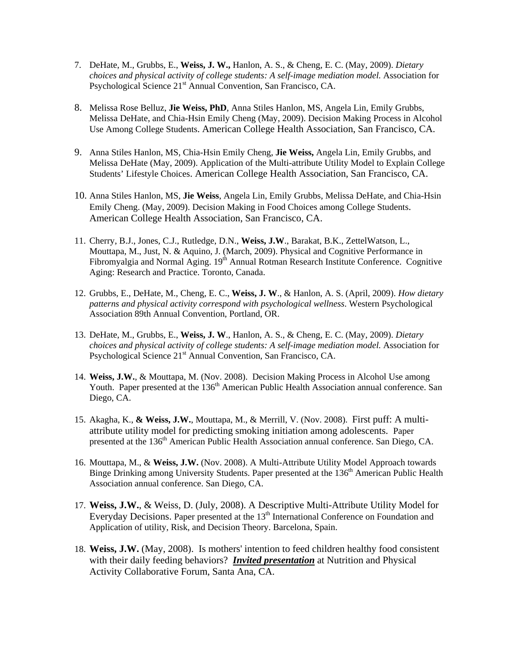- 7. DeHate, M., Grubbs, E., **Weiss, J. W.,** Hanlon, A. S., & Cheng, E. C. (May, 2009). *Dietary choices and physical activity of college students: A self-image mediation model.* Association for Psychological Science 21<sup>st</sup> Annual Convention, San Francisco, CA.
- 8. Melissa Rose Belluz, **Jie Weiss, PhD**, Anna Stiles Hanlon, MS, Angela Lin, Emily Grubbs, Melissa DeHate, and Chia-Hsin Emily Cheng (May, 2009). Decision Making Process in Alcohol Use Among College Students. American College Health Association, San Francisco, CA.
- 9. Anna Stiles Hanlon, MS, Chia-Hsin Emily Cheng, **Jie Weiss,** Angela Lin, Emily Grubbs, and Melissa DeHate (May, 2009). Application of the Multi-attribute Utility Model to Explain College Students' Lifestyle Choices. American College Health Association, San Francisco, CA.
- 10. Anna Stiles Hanlon, MS, **Jie Weiss**, Angela Lin, Emily Grubbs, Melissa DeHate, and Chia-Hsin Emily Cheng. (May, 2009). Decision Making in Food Choices among College Students. American College Health Association, San Francisco, CA.
- 11. Cherry, B.J., Jones, C.J., Rutledge, D.N., **Weiss, J.W**., Barakat, B.K., ZettelWatson, L., Mouttapa, M., Just, N. & Aquino, J. (March, 2009). Physical and Cognitive Performance in Fibromyalgia and Normal Aging. 19<sup>th</sup> Annual Rotman Research Institute Conference. Cognitive Aging: Research and Practice. Toronto, Canada.
- 12. Grubbs, E., DeHate, M., Cheng, E. C., **Weiss, J. W**., & Hanlon, A. S. (April, 2009). *How dietary patterns and physical activity correspond with psychological wellness*. Western Psychological Association 89th Annual Convention, Portland, OR.
- 13. DeHate, M., Grubbs, E., **Weiss, J. W**., Hanlon, A. S., & Cheng, E. C. (May, 2009). *Dietary choices and physical activity of college students: A self-image mediation model.* Association for Psychological Science 21<sup>st</sup> Annual Convention, San Francisco, CA.
- 14. **Weiss, J.W.**, & Mouttapa, M. (Nov. 2008). Decision Making Process in Alcohol Use among Youth. Paper presented at the 136<sup>th</sup> American Public Health Association annual conference. San Diego, CA.
- 15. Akagha, K., **& Weiss, J.W.**, Mouttapa, M., & Merrill, V. (Nov. 2008). First puff: A multiattribute utility model for predicting smoking initiation among adolescents. Paper presented at the 136<sup>th</sup> American Public Health Association annual conference. San Diego, CA.
- 16. Mouttapa, M., & **Weiss, J.W.** (Nov. 2008). A Multi-Attribute Utility Model Approach towards Binge Drinking among University Students. Paper presented at the 136<sup>th</sup> American Public Health Association annual conference. San Diego, CA.
- 17. **Weiss, J.W.**, & Weiss, D. (July, 2008). A Descriptive Multi-Attribute Utility Model for Everyday Decisions. Paper presented at the 13<sup>th</sup> International Conference on Foundation and Application of utility, Risk, and Decision Theory. Barcelona, Spain.
- 18. **Weiss, J.W.** (May, 2008). Is mothers' intention to feed children healthy food consistent with their daily feeding behaviors? *Invited presentation* at Nutrition and Physical Activity Collaborative Forum, Santa Ana, CA.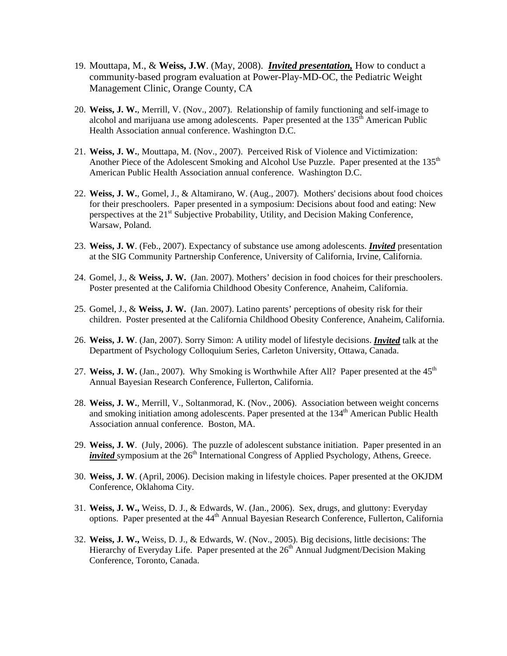- 19. Mouttapa, M., & **Weiss, J.W**. (May, 2008). *Invited presentation,* How to conduct a community-based program evaluation at Power-Play-MD-OC, the Pediatric Weight Management Clinic, Orange County, CA
- 20. **Weiss, J. W.**, Merrill, V. (Nov., 2007). Relationship of family functioning and self-image to alcohol and marijuana use among adolescents. Paper presented at the  $135<sup>th</sup>$  American Public Health Association annual conference. Washington D.C.
- 21. **Weiss, J. W.**, Mouttapa, M. (Nov., 2007). Perceived Risk of Violence and Victimization: Another Piece of the Adolescent Smoking and Alcohol Use Puzzle. Paper presented at the 135<sup>th</sup> American Public Health Association annual conference. Washington D.C.
- 22. **Weiss, J. W.**, Gomel, J., & Altamirano, W. (Aug., 2007). Mothers' decisions about food choices for their preschoolers. Paper presented in a symposium: Decisions about food and eating: New perspectives at the 21<sup>st</sup> Subjective Probability, Utility, and Decision Making Conference, Warsaw, Poland.
- 23. **Weiss, J. W**. (Feb., 2007). Expectancy of substance use among adolescents. *Invited* presentation at the SIG Community Partnership Conference, University of California, Irvine, California.
- 24. Gomel, J., & **Weiss, J. W.** (Jan. 2007). Mothers' decision in food choices for their preschoolers. Poster presented at the California Childhood Obesity Conference, Anaheim, California.
- 25. Gomel, J., & **Weiss, J. W.** (Jan. 2007). Latino parents' perceptions of obesity risk for their children. Poster presented at the California Childhood Obesity Conference, Anaheim, California.
- 26. **Weiss, J. W**. (Jan, 2007). Sorry Simon: A utility model of lifestyle decisions. *Invited* talk at the Department of Psychology Colloquium Series, Carleton University, Ottawa, Canada.
- 27. Weiss, J. W. (Jan., 2007). Why Smoking is Worthwhile After All? Paper presented at the 45<sup>th</sup> Annual Bayesian Research Conference, Fullerton, California.
- 28. **Weiss, J. W.**, Merrill, V., Soltanmorad, K. (Nov., 2006). Association between weight concerns and smoking initiation among adolescents. Paper presented at the 134<sup>th</sup> American Public Health Association annual conference. Boston, MA.
- 29. **Weiss, J. W**. (July, 2006).The puzzle of adolescent substance initiation. Paper presented in an *invited* symposium at the 26<sup>th</sup> International Congress of Applied Psychology, Athens, Greece.
- 30. **Weiss, J. W**. (April, 2006). Decision making in lifestyle choices. Paper presented at the OKJDM Conference, Oklahoma City.
- 31. **Weiss, J. W.,** Weiss, D. J., & Edwards, W. (Jan., 2006). Sex, drugs, and gluttony: Everyday options. Paper presented at the 44<sup>th</sup> Annual Bayesian Research Conference, Fullerton, California
- 32. **Weiss, J. W.,** Weiss, D. J., & Edwards, W. (Nov., 2005). Big decisions, little decisions: The Hierarchy of Everyday Life. Paper presented at the 26<sup>th</sup> Annual Judgment/Decision Making Conference, Toronto, Canada.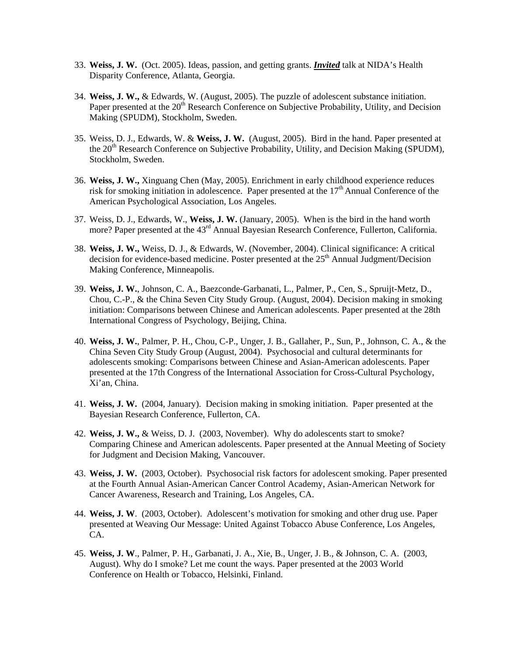- 33. **Weiss, J. W.** (Oct. 2005). Ideas, passion, and getting grants. *Invited* talk at NIDA's Health Disparity Conference, Atlanta, Georgia.
- 34. **Weiss, J. W.,** & Edwards, W. (August, 2005). The puzzle of adolescent substance initiation. Paper presented at the 20<sup>th</sup> Research Conference on Subjective Probability, Utility, and Decision Making (SPUDM), Stockholm, Sweden.
- 35. Weiss, D. J., Edwards, W. & **Weiss, J. W.** (August, 2005). Bird in the hand. Paper presented at the  $20<sup>th</sup>$  Research Conference on Subjective Probability, Utility, and Decision Making (SPUDM), Stockholm, Sweden.
- 36. **Weiss, J. W.,** Xinguang Chen (May, 2005). Enrichment in early childhood experience reduces risk for smoking initiation in adolescence. Paper presented at the 17<sup>th</sup> Annual Conference of the American Psychological Association, Los Angeles.
- 37. Weiss, D. J., Edwards, W., **Weiss, J. W.** (January, 2005). When is the bird in the hand worth more? Paper presented at the 43<sup>rd</sup> Annual Bayesian Research Conference, Fullerton, California.
- 38. **Weiss, J. W.,** Weiss, D. J., & Edwards, W. (November, 2004). Clinical significance: A critical decision for evidence-based medicine. Poster presented at the  $25<sup>th</sup>$  Annual Judgment/Decision Making Conference, Minneapolis.
- 39. **Weiss, J. W.**, Johnson, C. A., Baezconde-Garbanati, L., Palmer, P., Cen, S., Spruijt-Metz, D., Chou, C.-P., & the China Seven City Study Group. (August, 2004). Decision making in smoking initiation: Comparisons between Chinese and American adolescents. Paper presented at the 28th International Congress of Psychology, Beijing, China.
- 40. **Weiss, J. W.**, Palmer, P. H., Chou, C-P., Unger, J. B., Gallaher, P., Sun, P., Johnson, C. A., & the China Seven City Study Group (August, 2004). Psychosocial and cultural determinants for adolescents smoking: Comparisons between Chinese and Asian-American adolescents. Paper presented at the 17th Congress of the International Association for Cross-Cultural Psychology, Xi'an, China.
- 41. **Weiss, J. W.** (2004, January). Decision making in smoking initiation. Paper presented at the Bayesian Research Conference, Fullerton, CA.
- 42. **Weiss, J. W.,** & Weiss, D. J. (2003, November). Why do adolescents start to smoke? Comparing Chinese and American adolescents. Paper presented at the Annual Meeting of Society for Judgment and Decision Making, Vancouver.
- 43. **Weiss, J. W.** (2003, October). Psychosocial risk factors for adolescent smoking. Paper presented at the Fourth Annual Asian-American Cancer Control Academy, Asian-American Network for Cancer Awareness, Research and Training, Los Angeles, CA.
- 44. **Weiss, J. W**. (2003, October). Adolescent's motivation for smoking and other drug use. Paper presented at Weaving Our Message: United Against Tobacco Abuse Conference, Los Angeles, CA.
- 45. **Weiss, J. W**., Palmer, P. H., Garbanati, J. A., Xie, B., Unger, J. B., & Johnson, C. A. (2003, August). Why do I smoke? Let me count the ways. Paper presented at the 2003 World Conference on Health or Tobacco, Helsinki, Finland.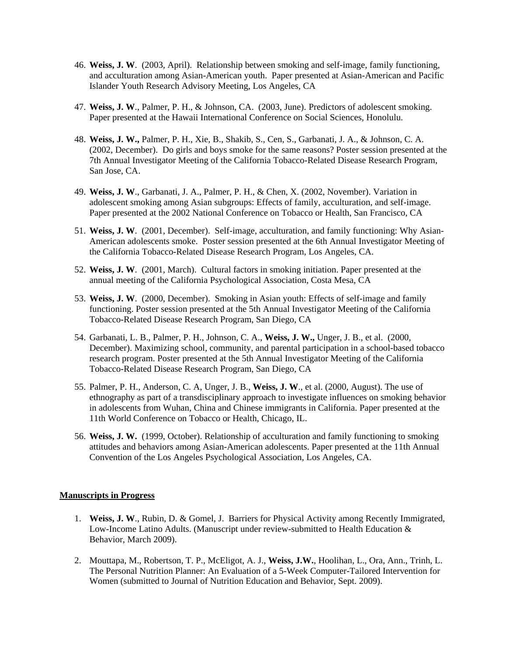- 46. **Weiss, J. W**. (2003, April). Relationship between smoking and self-image, family functioning, and acculturation among Asian-American youth. Paper presented at Asian-American and Pacific Islander Youth Research Advisory Meeting, Los Angeles, CA
- 47. **Weiss, J. W**., Palmer, P. H., & Johnson, CA. (2003, June). Predictors of adolescent smoking. Paper presented at the Hawaii International Conference on Social Sciences, Honolulu.
- 48. **Weiss, J. W.,** Palmer, P. H., Xie, B., Shakib, S., Cen, S., Garbanati, J. A., & Johnson, C. A. (2002, December). Do girls and boys smoke for the same reasons? Poster session presented at the 7th Annual Investigator Meeting of the California Tobacco-Related Disease Research Program, San Jose, CA.
- 49. **Weiss, J. W**., Garbanati, J. A., Palmer, P. H., & Chen, X. (2002, November). Variation in adolescent smoking among Asian subgroups: Effects of family, acculturation, and self-image. Paper presented at the 2002 National Conference on Tobacco or Health, San Francisco, CA
- 51. **Weiss, J. W**. (2001, December). Self-image, acculturation, and family functioning: Why Asian-American adolescents smoke. Poster session presented at the 6th Annual Investigator Meeting of the California Tobacco-Related Disease Research Program, Los Angeles, CA.
- 52. **Weiss, J. W**. (2001, March). Cultural factors in smoking initiation. Paper presented at the annual meeting of the California Psychological Association, Costa Mesa, CA
- 53. **Weiss, J. W**. (2000, December). Smoking in Asian youth: Effects of self-image and family functioning. Poster session presented at the 5th Annual Investigator Meeting of the California Tobacco-Related Disease Research Program, San Diego, CA
- 54. Garbanati, L. B., Palmer, P. H., Johnson, C. A., **Weiss, J. W.,** Unger, J. B., et al. (2000, December). Maximizing school, community, and parental participation in a school-based tobacco research program. Poster presented at the 5th Annual Investigator Meeting of the California Tobacco-Related Disease Research Program, San Diego, CA
- 55. Palmer, P. H., Anderson, C. A, Unger, J. B., **Weiss, J. W**., et al. (2000, August). The use of ethnography as part of a transdisciplinary approach to investigate influences on smoking behavior in adolescents from Wuhan, China and Chinese immigrants in California. Paper presented at the 11th World Conference on Tobacco or Health, Chicago, IL.
- 56. **Weiss, J. W.** (1999, October). Relationship of acculturation and family functioning to smoking attitudes and behaviors among Asian-American adolescents. Paper presented at the 11th Annual Convention of the Los Angeles Psychological Association, Los Angeles, CA.

#### **Manuscripts in Progress**

- 1. **Weiss, J. W**., Rubin, D. & Gomel, J. Barriers for Physical Activity among Recently Immigrated, Low-Income Latino Adults. (Manuscript under review-submitted to Health Education & Behavior, March 2009).
- 2. Mouttapa, M., Robertson, T. P., McEligot, A. J., **Weiss, J.W.**, Hoolihan, L., Ora, Ann., Trinh, L. The Personal Nutrition Planner: An Evaluation of a 5-Week Computer-Tailored Intervention for Women (submitted to Journal of Nutrition Education and Behavior, Sept. 2009).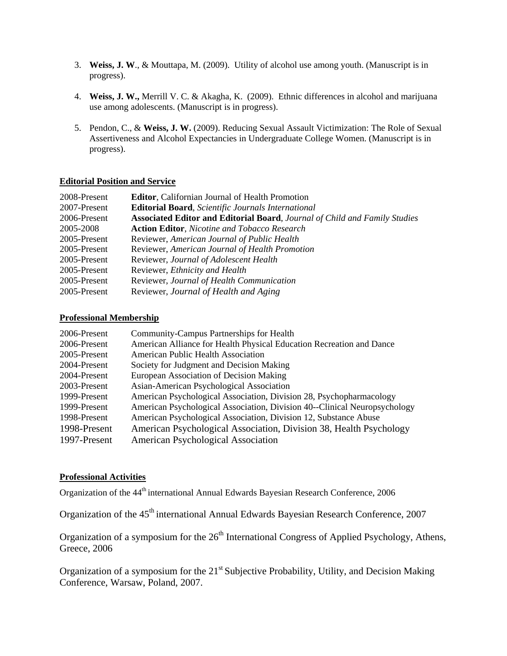- 3. **Weiss, J. W**., & Mouttapa, M. (2009). Utility of alcohol use among youth. (Manuscript is in progress).
- 4. **Weiss, J. W.,** Merrill V. C. & Akagha, K. (2009). Ethnic differences in alcohol and marijuana use among adolescents. (Manuscript is in progress).
- 5. Pendon, C., & **Weiss, J. W.** (2009). Reducing Sexual Assault Victimization: The Role of Sexual Assertiveness and Alcohol Expectancies in Undergraduate College Women. (Manuscript is in progress).

#### **Editorial Position and Service**

| <b>Editor, Californian Journal of Health Promotion</b>                            |
|-----------------------------------------------------------------------------------|
| <b>Editorial Board, Scientific Journals International</b>                         |
| <b>Associated Editor and Editorial Board, Journal of Child and Family Studies</b> |
| <b>Action Editor, Nicotine and Tobacco Research</b>                               |
| Reviewer, American Journal of Public Health                                       |
| Reviewer, American Journal of Health Promotion                                    |
| Reviewer, Journal of Adolescent Health                                            |
| Reviewer, Ethnicity and Health                                                    |
| Reviewer, Journal of Health Communication                                         |
| Reviewer, Journal of Health and Aging                                             |
|                                                                                   |

#### **Professional Membership**

| 2006-Present | <b>Community-Campus Partnerships for Health</b>                           |
|--------------|---------------------------------------------------------------------------|
| 2006-Present | American Alliance for Health Physical Education Recreation and Dance      |
| 2005-Present | American Public Health Association                                        |
| 2004-Present | Society for Judgment and Decision Making                                  |
| 2004-Present | European Association of Decision Making                                   |
| 2003-Present | Asian-American Psychological Association                                  |
| 1999-Present | American Psychological Association, Division 28, Psychopharmacology       |
| 1999-Present | American Psychological Association, Division 40--Clinical Neuropsychology |
| 1998-Present | American Psychological Association, Division 12, Substance Abuse          |
| 1998-Present | American Psychological Association, Division 38, Health Psychology        |
| 1997-Present | American Psychological Association                                        |

#### **Professional Activities**

Organization of the 44<sup>th</sup> international Annual Edwards Bayesian Research Conference, 2006

Organization of the 45<sup>th</sup> international Annual Edwards Bayesian Research Conference, 2007

Organization of a symposium for the 26<sup>th</sup> International Congress of Applied Psychology, Athens, Greece, 2006

Organization of a symposium for the 21<sup>st</sup> Subjective Probability, Utility, and Decision Making Conference, Warsaw, Poland, 2007.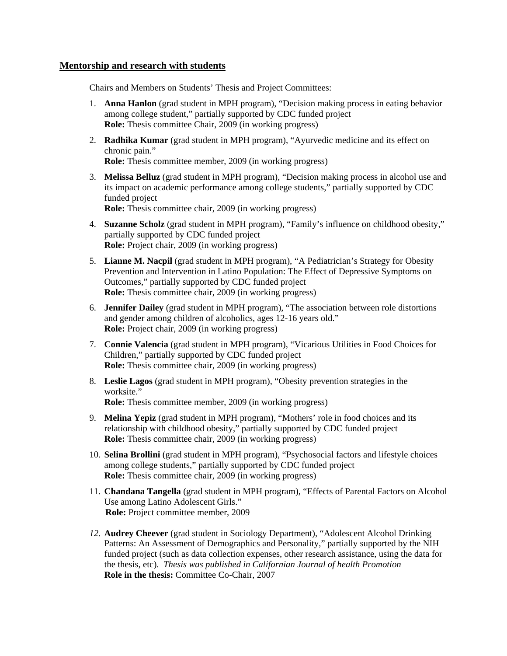#### **Mentorship and research with students**

Chairs and Members on Students' Thesis and Project Committees:

- 1. **Anna Hanlon** (grad student in MPH program), "Decision making process in eating behavior among college student," partially supported by CDC funded project **Role:** Thesis committee Chair, 2009 (in working progress)
- 2. **Radhika Kumar** (grad student in MPH program), "Ayurvedic medicine and its effect on chronic pain." **Role:** Thesis committee member, 2009 (in working progress)
- 3. **Melissa Belluz** (grad student in MPH program), "Decision making process in alcohol use and its impact on academic performance among college students," partially supported by CDC funded project **Role:** Thesis committee chair, 2009 (in working progress)
- 4. **Suzanne Scholz** (grad student in MPH program), "Family's influence on childhood obesity," partially supported by CDC funded project **Role:** Project chair, 2009 (in working progress)
- 5. **Lianne M. Nacpil** (grad student in MPH program), "A Pediatrician's Strategy for Obesity Prevention and Intervention in Latino Population: The Effect of Depressive Symptoms on Outcomes," partially supported by CDC funded project **Role:** Thesis committee chair, 2009 (in working progress)
- 6. **Jennifer Dailey** (grad student in MPH program), "The association between role distortions and gender among children of alcoholics, ages 12-16 years old." **Role:** Project chair, 2009 (in working progress)
- 7. **Connie Valencia** (grad student in MPH program), "Vicarious Utilities in Food Choices for Children," partially supported by CDC funded project **Role:** Thesis committee chair, 2009 (in working progress)
- 8. **Leslie Lagos** (grad student in MPH program), "Obesity prevention strategies in the worksite." **Role:** Thesis committee member, 2009 (in working progress)
- 9. **Melina Yepiz** (grad student in MPH program), "Mothers' role in food choices and its relationship with childhood obesity," partially supported by CDC funded project **Role:** Thesis committee chair, 2009 (in working progress)
- 10. **Selina Brollini** (grad student in MPH program), "Psychosocial factors and lifestyle choices among college students," partially supported by CDC funded project **Role:** Thesis committee chair, 2009 (in working progress)
- 11. **Chandana Tangella** (grad student in MPH program), "Effects of Parental Factors on Alcohol Use among Latino Adolescent Girls."  **Role:** Project committee member, 2009
- *12.* **Audrey Cheever** (grad student in Sociology Department), "Adolescent Alcohol Drinking Patterns: An Assessment of Demographics and Personality," partially supported by the NIH funded project (such as data collection expenses, other research assistance, using the data for the thesis, etc). *Thesis was published in Californian Journal of health Promotion*  **Role in the thesis:** Committee Co-Chair, 2007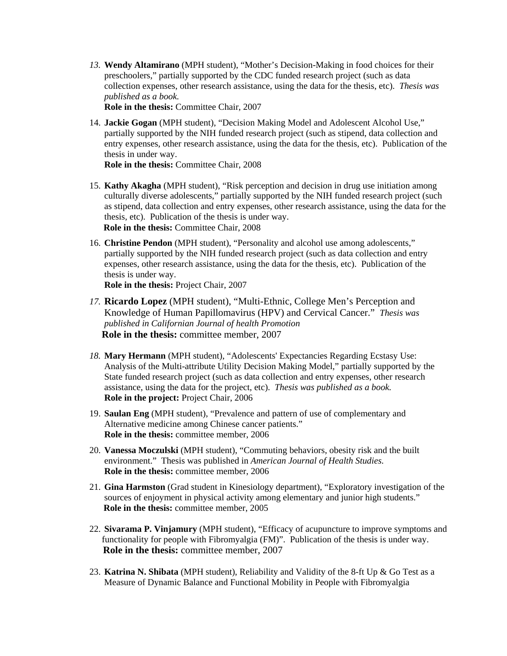*13.* **Wendy Altamirano** (MPH student), "Mother's Decision-Making in food choices for their preschoolers," partially supported by the CDC funded research project (such as data collection expenses, other research assistance, using the data for the thesis, etc). *Thesis was published as a book.* 

**Role in the thesis:** Committee Chair, 2007

14. **Jackie Gogan** (MPH student), "Decision Making Model and Adolescent Alcohol Use," partially supported by the NIH funded research project (such as stipend, data collection and entry expenses, other research assistance, using the data for the thesis, etc). Publication of the thesis in under way.

**Role in the thesis:** Committee Chair, 2008

- 15. **Kathy Akagha** (MPH student), "Risk perception and decision in drug use initiation among culturally diverse adolescents," partially supported by the NIH funded research project (such as stipend, data collection and entry expenses, other research assistance, using the data for the thesis, etc). Publication of the thesis is under way. **Role in the thesis:** Committee Chair, 2008
- 16. **Christine Pendon** (MPH student), "Personality and alcohol use among adolescents," partially supported by the NIH funded research project (such as data collection and entry expenses, other research assistance, using the data for the thesis, etc). Publication of the thesis is under way.

**Role in the thesis:** Project Chair, 2007

- *17.* **Ricardo Lopez** (MPH student), "Multi-Ethnic, College Men's Perception and Knowledge of Human Papillomavirus (HPV) and Cervical Cancer." *Thesis was published in Californian Journal of health Promotion*   **Role in the thesis:** committee member, 2007
- *18.* **Mary Hermann** (MPH student), "Adolescents' Expectancies Regarding Ecstasy Use: Analysis of the Multi-attribute Utility Decision Making Model," partially supported by the State funded research project (such as data collection and entry expenses, other research assistance, using the data for the project, etc). *Thesis was published as a book.*  **Role in the project:** Project Chair, 2006
- 19. **Saulan Eng** (MPH student), "Prevalence and pattern of use of complementary and Alternative medicine among Chinese cancer patients." **Role in the thesis:** committee member, 2006
- 20. **Vanessa Moczulski** (MPH student), "Commuting behaviors, obesity risk and the built environment." Thesis was published in *American Journal of Health Studies.* **Role in the thesis:** committee member, 2006
- 21. **Gina Harmston** (Grad student in Kinesiology department), "Exploratory investigation of the sources of enjoyment in physical activity among elementary and junior high students."  **Role in the thesis:** committee member, 2005
- 22. **Sivarama P. Vinjamury** (MPH student), "Efficacy of acupuncture to improve symptoms and functionality for people with Fibromyalgia (FM)". Publication of the thesis is under way. **Role in the thesis:** committee member, 2007
- 23. **Katrina N. Shibata** (MPH student), Reliability and Validity of the 8-ft Up & Go Test as a Measure of Dynamic Balance and Functional Mobility in People with Fibromyalgia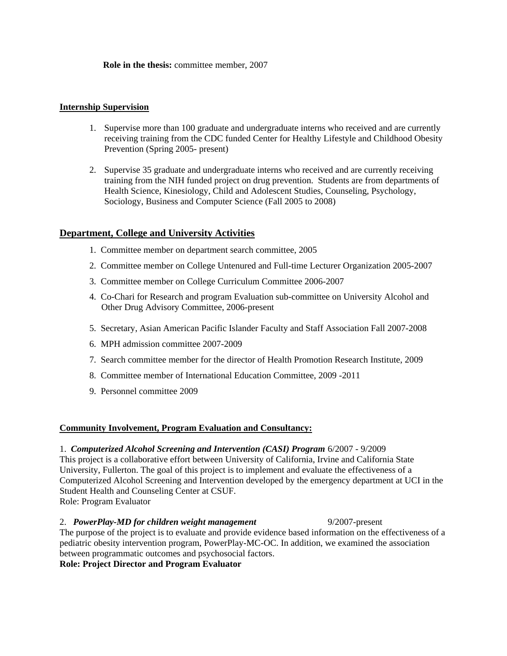#### **Internship Supervision**

- 1. Supervise more than 100 graduate and undergraduate interns who received and are currently receiving training from the CDC funded Center for Healthy Lifestyle and Childhood Obesity Prevention (Spring 2005- present)
- 2. Supervise 35 graduate and undergraduate interns who received and are currently receiving training from the NIH funded project on drug prevention. Students are from departments of Health Science, Kinesiology, Child and Adolescent Studies, Counseling, Psychology, Sociology, Business and Computer Science (Fall 2005 to 2008)

# **Department, College and University Activities**

- 1. Committee member on department search committee, 2005
- 2. Committee member on College Untenured and Full-time Lecturer Organization 2005-2007
- 3. Committee member on College Curriculum Committee 2006-2007
- 4. Co-Chari for Research and program Evaluation sub-committee on University Alcohol and Other Drug Advisory Committee, 2006-present
- 5. Secretary, Asian American Pacific Islander Faculty and Staff Association Fall 2007-2008
- 6. MPH admission committee 2007-2009
- 7. Search committee member for the director of Health Promotion Research Institute, 2009
- 8. Committee member of International Education Committee, 2009 -2011
- 9. Personnel committee 2009

# **Community Involvement, Program Evaluation and Consultancy:**

#### 1. *Computerized Alcohol Screening and Intervention (CASI) Program* 6/2007 - 9/2009

This project is a collaborative effort between University of California, Irvine and California State University, Fullerton. The goal of this project is to implement and evaluate the effectiveness of a Computerized Alcohol Screening and Intervention developed by the emergency department at UCI in the Student Health and Counseling Center at CSUF. Role: Program Evaluator

2. *PowerPlay-MD for children weight management* 9/2007-present The purpose of the project is to evaluate and provide evidence based information on the effectiveness of a pediatric obesity intervention program, PowerPlay-MC-OC. In addition, we examined the association between programmatic outcomes and psychosocial factors.

**Role: Project Director and Program Evaluator**